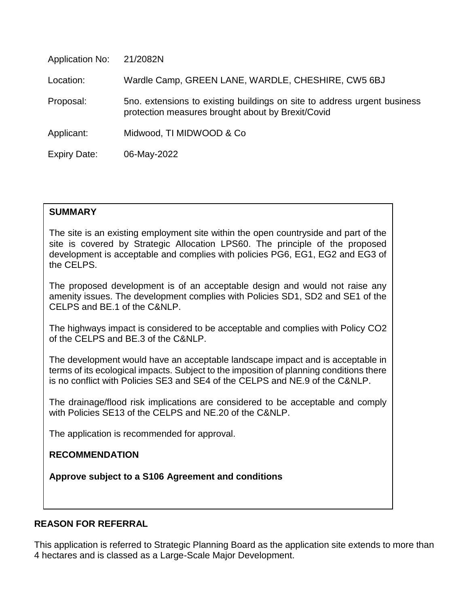| <b>Application No:</b> | 21/2082N                                                                                                                      |
|------------------------|-------------------------------------------------------------------------------------------------------------------------------|
| Location:              | Wardle Camp, GREEN LANE, WARDLE, CHESHIRE, CW5 6BJ                                                                            |
| Proposal:              | 5no. extensions to existing buildings on site to address urgent business<br>protection measures brought about by Brexit/Covid |
| Applicant:             | Midwood, TI MIDWOOD & Co                                                                                                      |
| <b>Expiry Date:</b>    | 06-May-2022                                                                                                                   |

# **SUMMARY**

The site is an existing employment site within the open countryside and part of the site is covered by Strategic Allocation LPS60. The principle of the proposed development is acceptable and complies with policies PG6, EG1, EG2 and EG3 of the CELPS.

The proposed development is of an acceptable design and would not raise any amenity issues. The development complies with Policies SD1, SD2 and SE1 of the CELPS and BE.1 of the C&NLP.

The highways impact is considered to be acceptable and complies with Policy CO2 of the CELPS and BE.3 of the C&NLP.

The development would have an acceptable landscape impact and is acceptable in terms of its ecological impacts. Subject to the imposition of planning conditions there is no conflict with Policies SE3 and SE4 of the CELPS and NE.9 of the C&NLP.

The drainage/flood risk implications are considered to be acceptable and comply with Policies SE13 of the CELPS and NE.20 of the C&NLP.

The application is recommended for approval.

# **RECOMMENDATION**

**Approve subject to a S106 Agreement and conditions**

# **REASON FOR REFERRAL**

This application is referred to Strategic Planning Board as the application site extends to more than 4 hectares and is classed as a Large-Scale Major Development.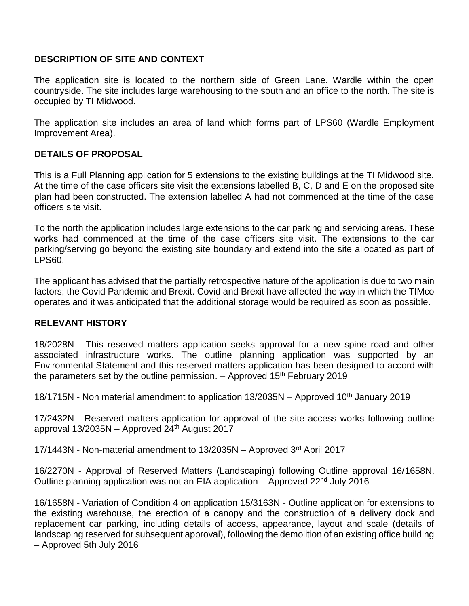# **DESCRIPTION OF SITE AND CONTEXT**

The application site is located to the northern side of Green Lane, Wardle within the open countryside. The site includes large warehousing to the south and an office to the north. The site is occupied by TI Midwood.

The application site includes an area of land which forms part of LPS60 (Wardle Employment Improvement Area).

## **DETAILS OF PROPOSAL**

This is a Full Planning application for 5 extensions to the existing buildings at the TI Midwood site. At the time of the case officers site visit the extensions labelled B, C, D and E on the proposed site plan had been constructed. The extension labelled A had not commenced at the time of the case officers site visit.

To the north the application includes large extensions to the car parking and servicing areas. These works had commenced at the time of the case officers site visit. The extensions to the car parking/serving go beyond the existing site boundary and extend into the site allocated as part of LPS60.

The applicant has advised that the partially retrospective nature of the application is due to two main factors; the Covid Pandemic and Brexit. Covid and Brexit have affected the way in which the TIMco operates and it was anticipated that the additional storage would be required as soon as possible.

## **RELEVANT HISTORY**

18/2028N - This reserved matters application seeks approval for a new spine road and other associated infrastructure works. The outline planning application was supported by an Environmental Statement and this reserved matters application has been designed to accord with the parameters set by the outline permission.  $-$  Approved 15<sup>th</sup> February 2019

18/1715N - Non material amendment to application  $13/2035N -$  Approved 10<sup>th</sup> January 2019

17/2432N - Reserved matters application for approval of the site access works following outline approval  $13/2035N -$  Approved  $24<sup>th</sup>$  August 2017

17/1443N - Non-material amendment to 13/2035N – Approved 3rd April 2017

16/2270N - Approval of Reserved Matters (Landscaping) following Outline approval 16/1658N. Outline planning application was not an EIA application – Approved  $22<sup>nd</sup>$  July 2016

16/1658N - Variation of Condition 4 on application 15/3163N - Outline application for extensions to the existing warehouse, the erection of a canopy and the construction of a delivery dock and replacement car parking, including details of access, appearance, layout and scale (details of landscaping reserved for subsequent approval), following the demolition of an existing office building – Approved 5th July 2016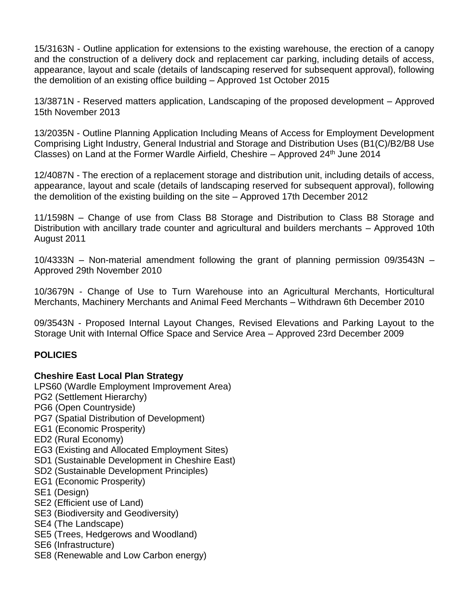15/3163N - Outline application for extensions to the existing warehouse, the erection of a canopy and the construction of a delivery dock and replacement car parking, including details of access, appearance, layout and scale (details of landscaping reserved for subsequent approval), following the demolition of an existing office building – Approved 1st October 2015

13/3871N - Reserved matters application, Landscaping of the proposed development – Approved 15th November 2013

13/2035N - Outline Planning Application Including Means of Access for Employment Development Comprising Light Industry, General Industrial and Storage and Distribution Uses (B1(C)/B2/B8 Use Classes) on Land at the Former Wardle Airfield, Cheshire – Approved  $24<sup>th</sup>$  June 2014

12/4087N - The erection of a replacement storage and distribution unit, including details of access, appearance, layout and scale (details of landscaping reserved for subsequent approval), following the demolition of the existing building on the site – Approved 17th December 2012

11/1598N – Change of use from Class B8 Storage and Distribution to Class B8 Storage and Distribution with ancillary trade counter and agricultural and builders merchants – Approved 10th August 2011

10/4333N – Non-material amendment following the grant of planning permission 09/3543N – Approved 29th November 2010

10/3679N - Change of Use to Turn Warehouse into an Agricultural Merchants, Horticultural Merchants, Machinery Merchants and Animal Feed Merchants – Withdrawn 6th December 2010

09/3543N - Proposed Internal Layout Changes, Revised Elevations and Parking Layout to the Storage Unit with Internal Office Space and Service Area – Approved 23rd December 2009

# **POLICIES**

# **Cheshire East Local Plan Strategy**

LPS60 (Wardle Employment Improvement Area) PG2 (Settlement Hierarchy) PG6 (Open Countryside) PG7 (Spatial Distribution of Development) EG1 (Economic Prosperity) ED2 (Rural Economy) EG3 (Existing and Allocated Employment Sites) SD1 (Sustainable Development in Cheshire East) SD2 (Sustainable Development Principles) EG1 (Economic Prosperity) SE1 (Design) SE2 (Efficient use of Land) SE3 (Biodiversity and Geodiversity) SE4 (The Landscape) SE5 (Trees, Hedgerows and Woodland) SE6 (Infrastructure) SE8 (Renewable and Low Carbon energy)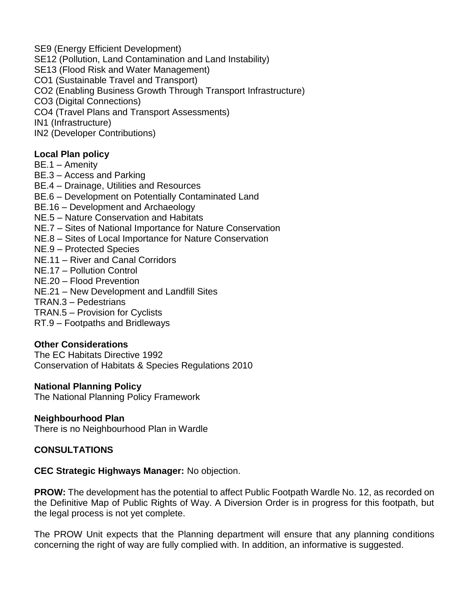SE9 (Energy Efficient Development) SE12 (Pollution, Land Contamination and Land Instability) SE13 (Flood Risk and Water Management) CO1 (Sustainable Travel and Transport) CO2 (Enabling Business Growth Through Transport Infrastructure) CO3 (Digital Connections) CO4 (Travel Plans and Transport Assessments) IN1 (Infrastructure) IN2 (Developer Contributions)

**Local Plan policy**

BE.1 – Amenity

BE.3 – Access and Parking

BE.4 – Drainage, Utilities and Resources

BE.6 – Development on Potentially Contaminated Land

BE.16 – Development and Archaeology

NE.5 – Nature Conservation and Habitats

NE.7 – Sites of National Importance for Nature Conservation

NE.8 – Sites of Local Importance for Nature Conservation

NE.9 – Protected Species

NE.11 – River and Canal Corridors

NE.17 – Pollution Control

NE.20 – Flood Prevention

NE.21 – New Development and Landfill Sites

TRAN.3 – Pedestrians

TRAN.5 – Provision for Cyclists

RT.9 – Footpaths and Bridleways

#### **Other Considerations**

The EC Habitats Directive 1992 Conservation of Habitats & Species Regulations 2010

#### **National Planning Policy**

The National Planning Policy Framework

#### **Neighbourhood Plan**

There is no Neighbourhood Plan in Wardle

## **CONSULTATIONS**

**CEC Strategic Highways Manager:** No objection.

**PROW:** The development has the potential to affect Public Footpath Wardle No. 12, as recorded on the Definitive Map of Public Rights of Way. A Diversion Order is in progress for this footpath, but the legal process is not yet complete.

The PROW Unit expects that the Planning department will ensure that any planning conditions concerning the right of way are fully complied with. In addition, an informative is suggested.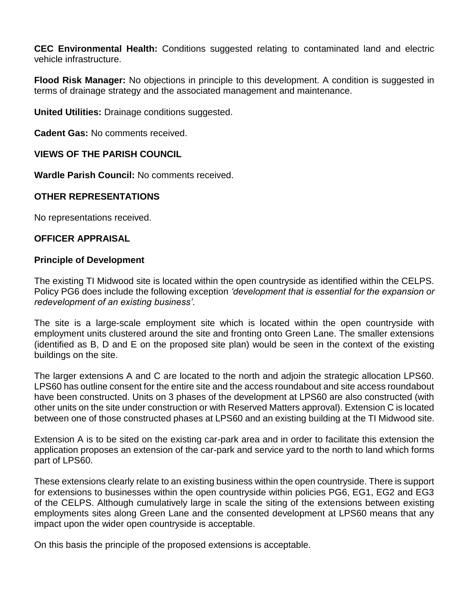**CEC Environmental Health:** Conditions suggested relating to contaminated land and electric vehicle infrastructure.

**Flood Risk Manager:** No objections in principle to this development. A condition is suggested in terms of drainage strategy and the associated management and maintenance.

**United Utilities:** Drainage conditions suggested.

**Cadent Gas:** No comments received.

# **VIEWS OF THE PARISH COUNCIL**

**Wardle Parish Council:** No comments received.

# **OTHER REPRESENTATIONS**

No representations received.

## **OFFICER APPRAISAL**

#### **Principle of Development**

The existing TI Midwood site is located within the open countryside as identified within the CELPS. Policy PG6 does include the following exception *'development that is essential for the expansion or redevelopment of an existing business'*.

The site is a large-scale employment site which is located within the open countryside with employment units clustered around the site and fronting onto Green Lane. The smaller extensions (identified as B, D and E on the proposed site plan) would be seen in the context of the existing buildings on the site.

The larger extensions A and C are located to the north and adjoin the strategic allocation LPS60. LPS60 has outline consent for the entire site and the access roundabout and site access roundabout have been constructed. Units on 3 phases of the development at LPS60 are also constructed (with other units on the site under construction or with Reserved Matters approval). Extension C is located between one of those constructed phases at LPS60 and an existing building at the TI Midwood site.

Extension A is to be sited on the existing car-park area and in order to facilitate this extension the application proposes an extension of the car-park and service yard to the north to land which forms part of LPS60.

These extensions clearly relate to an existing business within the open countryside. There is support for extensions to businesses within the open countryside within policies PG6, EG1, EG2 and EG3 of the CELPS. Although cumulatively large in scale the siting of the extensions between existing employments sites along Green Lane and the consented development at LPS60 means that any impact upon the wider open countryside is acceptable.

On this basis the principle of the proposed extensions is acceptable.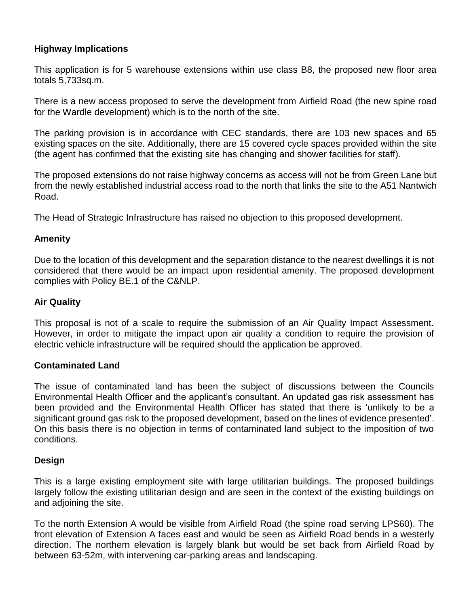# **Highway Implications**

This application is for 5 warehouse extensions within use class B8, the proposed new floor area totals 5,733sq.m.

There is a new access proposed to serve the development from Airfield Road (the new spine road for the Wardle development) which is to the north of the site.

The parking provision is in accordance with CEC standards, there are 103 new spaces and 65 existing spaces on the site. Additionally, there are 15 covered cycle spaces provided within the site (the agent has confirmed that the existing site has changing and shower facilities for staff).

The proposed extensions do not raise highway concerns as access will not be from Green Lane but from the newly established industrial access road to the north that links the site to the A51 Nantwich Road.

The Head of Strategic Infrastructure has raised no objection to this proposed development.

# **Amenity**

Due to the location of this development and the separation distance to the nearest dwellings it is not considered that there would be an impact upon residential amenity. The proposed development complies with Policy BE.1 of the C&NLP.

# **Air Quality**

This proposal is not of a scale to require the submission of an Air Quality Impact Assessment. However, in order to mitigate the impact upon air quality a condition to require the provision of electric vehicle infrastructure will be required should the application be approved.

## **Contaminated Land**

The issue of contaminated land has been the subject of discussions between the Councils Environmental Health Officer and the applicant's consultant. An updated gas risk assessment has been provided and the Environmental Health Officer has stated that there is 'unlikely to be a significant ground gas risk to the proposed development, based on the lines of evidence presented'. On this basis there is no objection in terms of contaminated land subject to the imposition of two conditions.

## **Design**

This is a large existing employment site with large utilitarian buildings. The proposed buildings largely follow the existing utilitarian design and are seen in the context of the existing buildings on and adjoining the site.

To the north Extension A would be visible from Airfield Road (the spine road serving LPS60). The front elevation of Extension A faces east and would be seen as Airfield Road bends in a westerly direction. The northern elevation is largely blank but would be set back from Airfield Road by between 63-52m, with intervening car-parking areas and landscaping.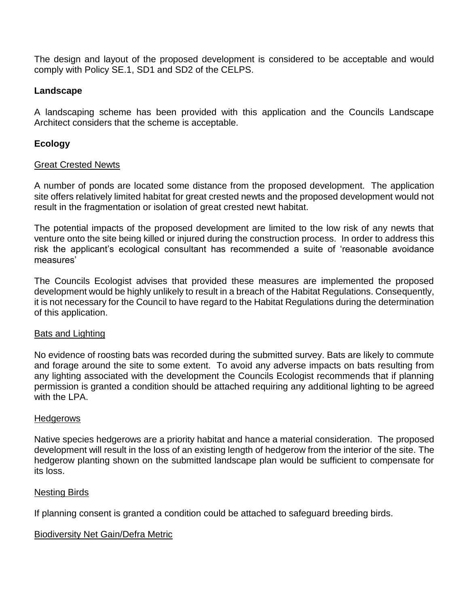The design and layout of the proposed development is considered to be acceptable and would comply with Policy SE.1, SD1 and SD2 of the CELPS.

## **Landscape**

A landscaping scheme has been provided with this application and the Councils Landscape Architect considers that the scheme is acceptable.

# **Ecology**

#### Great Crested Newts

A number of ponds are located some distance from the proposed development. The application site offers relatively limited habitat for great crested newts and the proposed development would not result in the fragmentation or isolation of great crested newt habitat.

The potential impacts of the proposed development are limited to the low risk of any newts that venture onto the site being killed or injured during the construction process. In order to address this risk the applicant's ecological consultant has recommended a suite of 'reasonable avoidance measures'

The Councils Ecologist advises that provided these measures are implemented the proposed development would be highly unlikely to result in a breach of the Habitat Regulations. Consequently, it is not necessary for the Council to have regard to the Habitat Regulations during the determination of this application.

## Bats and Lighting

No evidence of roosting bats was recorded during the submitted survey. Bats are likely to commute and forage around the site to some extent. To avoid any adverse impacts on bats resulting from any lighting associated with the development the Councils Ecologist recommends that if planning permission is granted a condition should be attached requiring any additional lighting to be agreed with the LPA.

## **Hedgerows**

Native species hedgerows are a priority habitat and hance a material consideration. The proposed development will result in the loss of an existing length of hedgerow from the interior of the site. The hedgerow planting shown on the submitted landscape plan would be sufficient to compensate for its loss.

## Nesting Birds

If planning consent is granted a condition could be attached to safeguard breeding birds.

## Biodiversity Net Gain/Defra Metric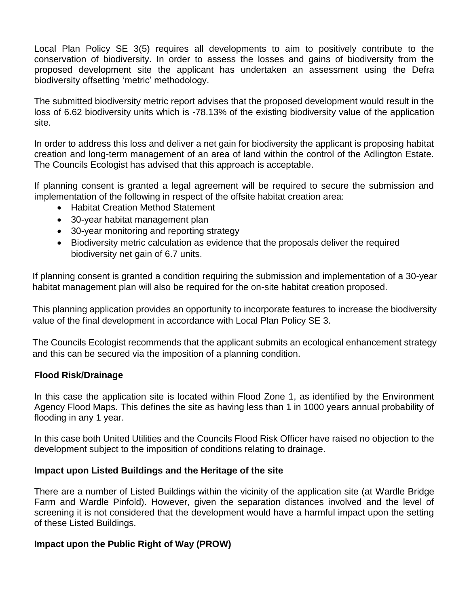Local Plan Policy SE 3(5) requires all developments to aim to positively contribute to the conservation of biodiversity. In order to assess the losses and gains of biodiversity from the proposed development site the applicant has undertaken an assessment using the Defra biodiversity offsetting 'metric' methodology.

The submitted biodiversity metric report advises that the proposed development would result in the loss of 6.62 biodiversity units which is -78.13% of the existing biodiversity value of the application site.

In order to address this loss and deliver a net gain for biodiversity the applicant is proposing habitat creation and long-term management of an area of land within the control of the Adlington Estate. The Councils Ecologist has advised that this approach is acceptable.

If planning consent is granted a legal agreement will be required to secure the submission and implementation of the following in respect of the offsite habitat creation area:

- Habitat Creation Method Statement
- 30-year habitat management plan
- 30-year monitoring and reporting strategy
- Biodiversity metric calculation as evidence that the proposals deliver the required biodiversity net gain of 6.7 units.

If planning consent is granted a condition requiring the submission and implementation of a 30-year habitat management plan will also be required for the on-site habitat creation proposed.

This planning application provides an opportunity to incorporate features to increase the biodiversity value of the final development in accordance with Local Plan Policy SE 3.

The Councils Ecologist recommends that the applicant submits an ecological enhancement strategy and this can be secured via the imposition of a planning condition.

## **Flood Risk/Drainage**

In this case the application site is located within Flood Zone 1, as identified by the Environment Agency Flood Maps. This defines the site as having less than 1 in 1000 years annual probability of flooding in any 1 year.

In this case both United Utilities and the Councils Flood Risk Officer have raised no objection to the development subject to the imposition of conditions relating to drainage.

## **Impact upon Listed Buildings and the Heritage of the site**

There are a number of Listed Buildings within the vicinity of the application site (at Wardle Bridge Farm and Wardle Pinfold). However, given the separation distances involved and the level of screening it is not considered that the development would have a harmful impact upon the setting of these Listed Buildings.

## **Impact upon the Public Right of Way (PROW)**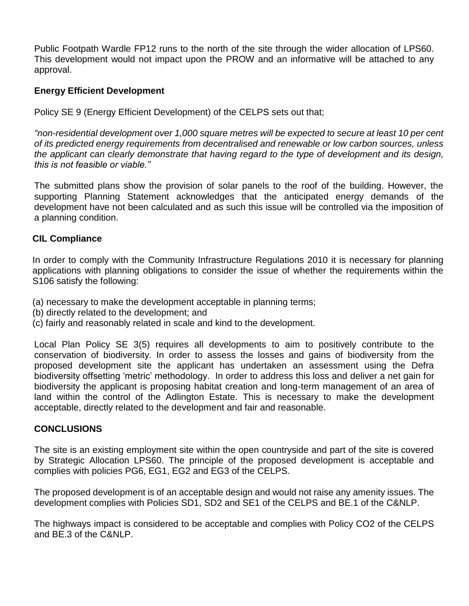Public Footpath Wardle FP12 runs to the north of the site through the wider allocation of LPS60. This development would not impact upon the PROW and an informative will be attached to any approval.

# **Energy Efficient Development**

Policy SE 9 (Energy Efficient Development) of the CELPS sets out that;

*"non-residential development over 1,000 square metres will be expected to secure at least 10 per cent of its predicted energy requirements from decentralised and renewable or low carbon sources, unless the applicant can clearly demonstrate that having regard to the type of development and its design, this is not feasible or viable."* 

The submitted plans show the provision of solar panels to the roof of the building. However, the supporting Planning Statement acknowledges that the anticipated energy demands of the development have not been calculated and as such this issue will be controlled via the imposition of a planning condition.

# **CIL Compliance**

In order to comply with the Community Infrastructure Regulations 2010 it is necessary for planning applications with planning obligations to consider the issue of whether the requirements within the S106 satisfy the following:

- (a) necessary to make the development acceptable in planning terms;
- (b) directly related to the development; and
- (c) fairly and reasonably related in scale and kind to the development.

Local Plan Policy SE 3(5) requires all developments to aim to positively contribute to the conservation of biodiversity. In order to assess the losses and gains of biodiversity from the proposed development site the applicant has undertaken an assessment using the Defra biodiversity offsetting 'metric' methodology. In order to address this loss and deliver a net gain for biodiversity the applicant is proposing habitat creation and long-term management of an area of land within the control of the Adlington Estate. This is necessary to make the development acceptable, directly related to the development and fair and reasonable.

## **CONCLUSIONS**

The site is an existing employment site within the open countryside and part of the site is covered by Strategic Allocation LPS60. The principle of the proposed development is acceptable and complies with policies PG6, EG1, EG2 and EG3 of the CELPS.

The proposed development is of an acceptable design and would not raise any amenity issues. The development complies with Policies SD1, SD2 and SE1 of the CELPS and BE.1 of the C&NLP.

The highways impact is considered to be acceptable and complies with Policy CO2 of the CELPS and BE.3 of the C&NLP.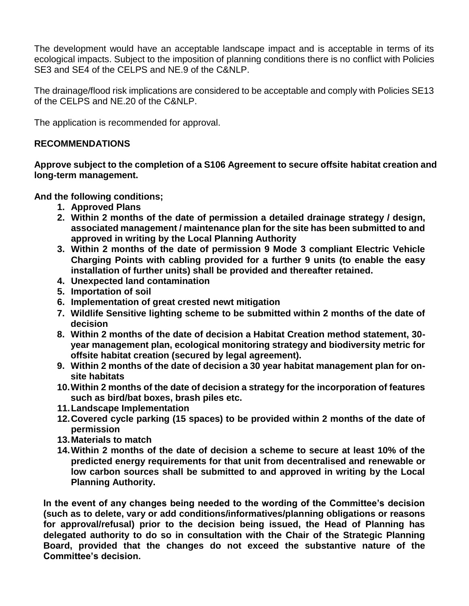The development would have an acceptable landscape impact and is acceptable in terms of its ecological impacts. Subject to the imposition of planning conditions there is no conflict with Policies SE3 and SE4 of the CELPS and NE.9 of the C&NLP.

The drainage/flood risk implications are considered to be acceptable and comply with Policies SE13 of the CELPS and NE.20 of the C&NLP.

The application is recommended for approval.

# **RECOMMENDATIONS**

**Approve subject to the completion of a S106 Agreement to secure offsite habitat creation and long-term management.**

**And the following conditions;**

- **1. Approved Plans**
- **2. Within 2 months of the date of permission a detailed drainage strategy / design, associated management / maintenance plan for the site has been submitted to and approved in writing by the Local Planning Authority**
- **3. Within 2 months of the date of permission 9 Mode 3 compliant Electric Vehicle Charging Points with cabling provided for a further 9 units (to enable the easy installation of further units) shall be provided and thereafter retained.**
- **4. Unexpected land contamination**
- **5. Importation of soil**
- **6. Implementation of great crested newt mitigation**
- **7. Wildlife Sensitive lighting scheme to be submitted within 2 months of the date of decision**
- **8. Within 2 months of the date of decision a Habitat Creation method statement, 30 year management plan, ecological monitoring strategy and biodiversity metric for offsite habitat creation (secured by legal agreement).**
- **9. Within 2 months of the date of decision a 30 year habitat management plan for onsite habitats**
- **10.Within 2 months of the date of decision a strategy for the incorporation of features such as bird/bat boxes, brash piles etc.**
- **11.Landscape Implementation**
- **12.Covered cycle parking (15 spaces) to be provided within 2 months of the date of permission**
- **13.Materials to match**
- **14.Within 2 months of the date of decision a scheme to secure at least 10% of the predicted energy requirements for that unit from decentralised and renewable or low carbon sources shall be submitted to and approved in writing by the Local Planning Authority.**

**In the event of any changes being needed to the wording of the Committee's decision (such as to delete, vary or add conditions/informatives/planning obligations or reasons for approval/refusal) prior to the decision being issued, the Head of Planning has delegated authority to do so in consultation with the Chair of the Strategic Planning Board, provided that the changes do not exceed the substantive nature of the Committee's decision.**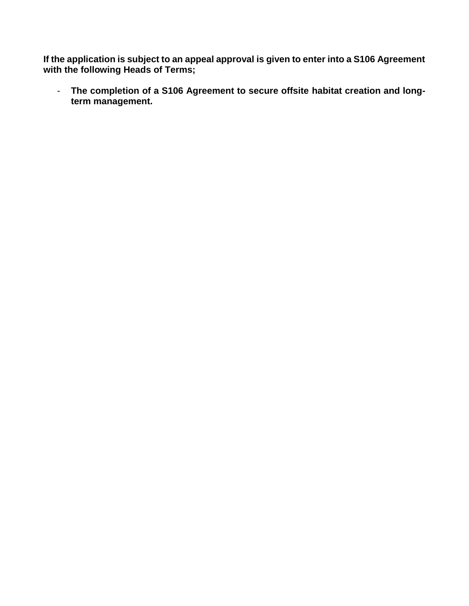**If the application is subject to an appeal approval is given to enter into a S106 Agreement with the following Heads of Terms;**

- **The completion of a S106 Agreement to secure offsite habitat creation and longterm management.**